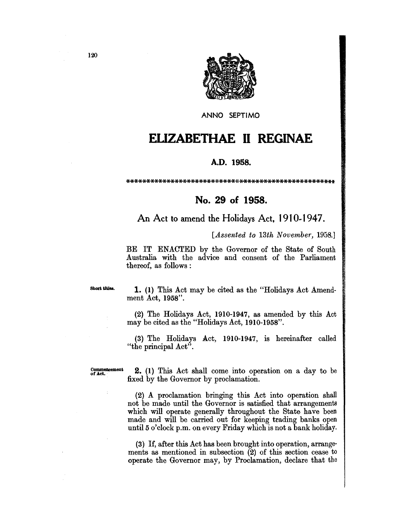

ANNO SEPTIMO

## **ELIZABETHAE II REGINAE**

## A.D. 1958.

## No. 29 of 1958.

An Act to amend the Holidays Act, 1910-1947.

[Assented to 13th November, 1958.]

BE IT ENACTED by the Governor of the State of South Australia with the advice and consent of the Parliament thereof, as follows:

Short titles.

1. (1) This Act may be cited as the "Holidays Act Amendment Act, 1958".

(2) The Holidays Act, 1910-1947, as amended by this Act may be cited as the "Holidays Act, 1910-1958".

(3) The Holidays Act, 1910-1947, is hereinafter called "the principal Act".

Commencement<br>of Act.

**2.** (1) This Act shall come into operation on a day to be fixed by the Governor by proclamation.

(2) A proclamation bringing this Act into operation shall not be made until the Governor is satisfied that arrangements which will operate generally throughout the State have been made and will be carried out for keeping trading banks open until 5 o'clock p.m. on every Friday which is not a bank holiday.

(3) If, after this Act has been brought into operation, arrangements as mentioned in subsection  $(2)$  of this section cease to operate the Governor may, by Proclamation, declare that the